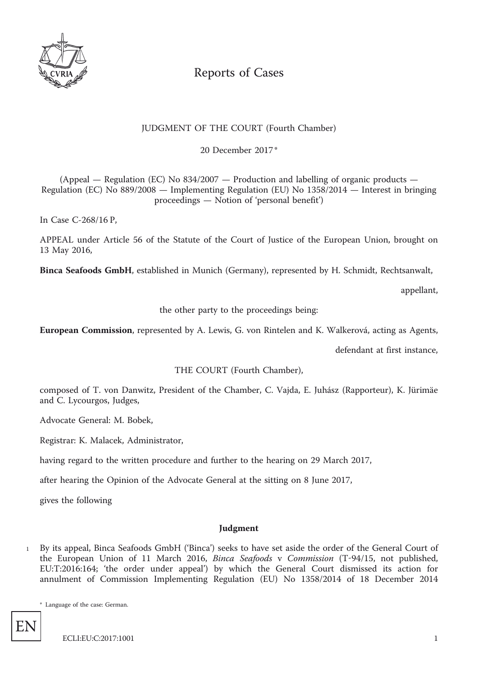

# Reports of Cases

# JUDGMENT OF THE COURT (Fourth Chamber)

20 December 2017 \*

(Appeal — Regulation (EC) No 834/2007 — Production and labelling of organic products — Regulation (EC) No 889/2008 — Implementing Regulation (EU) No 1358/2014 — Interest in bringing proceedings — Notion of 'personal benefit')

In Case C-268/16 P,

APPEAL under Article 56 of the Statute of the Court of Justice of the European Union, brought on 13 May 2016,

**Binca Seafoods GmbH**, established in Munich (Germany), represented by H. Schmidt, Rechtsanwalt,

appellant,

the other party to the proceedings being:

**European Commission**, represented by A. Lewis, G. von Rintelen and K. Walkerová, acting as Agents,

defendant at first instance,

THE COURT (Fourth Chamber),

composed of T. von Danwitz, President of the Chamber, C. Vajda, E. Juhász (Rapporteur), K. Jürimäe and C. Lycourgos, Judges,

Advocate General: M. Bobek,

Registrar: K. Malacek, Administrator,

having regard to the written procedure and further to the hearing on 29 March 2017,

after hearing the Opinion of the Advocate General at the sitting on 8 June 2017,

gives the following

## **Judgment**

<sup>1</sup> By its appeal, Binca Seafoods GmbH ('Binca') seeks to have set aside the order of the General Court of the European Union of 11 March 2016, *Binca Seafoods* v *Commission* (T-94/15, not published, EU:T:2016:164; 'the order under appeal') by which the General Court dismissed its action for annulment of Commission Implementing Regulation (EU) No 1358/2014 of 18 December 2014

\* Language of the case: German.

EN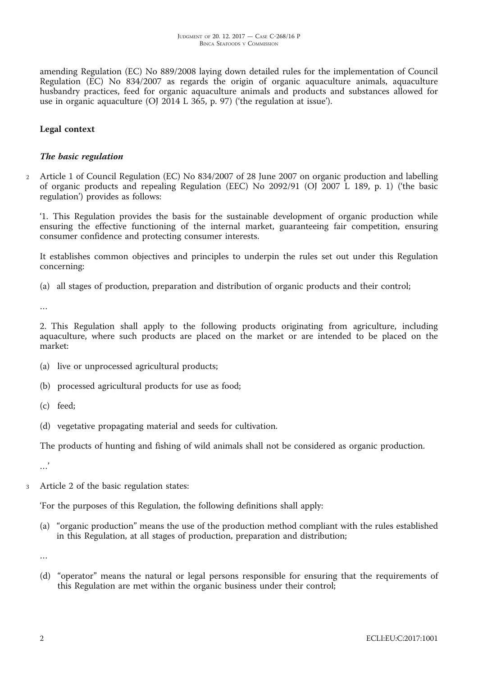amending Regulation (EC) No 889/2008 laying down detailed rules for the implementation of Council Regulation (EC) No 834/2007 as regards the origin of organic aquaculture animals, aquaculture husbandry practices, feed for organic aquaculture animals and products and substances allowed for use in organic aquaculture (OJ 2014 L 365, p. 97) ('the regulation at issue').

## **Legal context**

## *The basic regulation*

<sup>2</sup> Article 1 of Council Regulation (EC) No 834/2007 of 28 June 2007 on organic production and labelling of organic products and repealing Regulation (EEC) No 2092/91 (OJ 2007 L 189, p. 1) ('the basic regulation') provides as follows:

'1. This Regulation provides the basis for the sustainable development of organic production while ensuring the effective functioning of the internal market, guaranteeing fair competition, ensuring consumer confidence and protecting consumer interests.

It establishes common objectives and principles to underpin the rules set out under this Regulation concerning:

(a) all stages of production, preparation and distribution of organic products and their control;

…

2. This Regulation shall apply to the following products originating from agriculture, including aquaculture, where such products are placed on the market or are intended to be placed on the market:

- (a) live or unprocessed agricultural products;
- (b) processed agricultural products for use as food;
- (c) feed;
- (d) vegetative propagating material and seeds for cultivation.

The products of hunting and fishing of wild animals shall not be considered as organic production.

…'

<sup>3</sup> Article 2 of the basic regulation states:

'For the purposes of this Regulation, the following definitions shall apply:

(a) "organic production" means the use of the production method compliant with the rules established in this Regulation, at all stages of production, preparation and distribution;

…

(d) "operator" means the natural or legal persons responsible for ensuring that the requirements of this Regulation are met within the organic business under their control;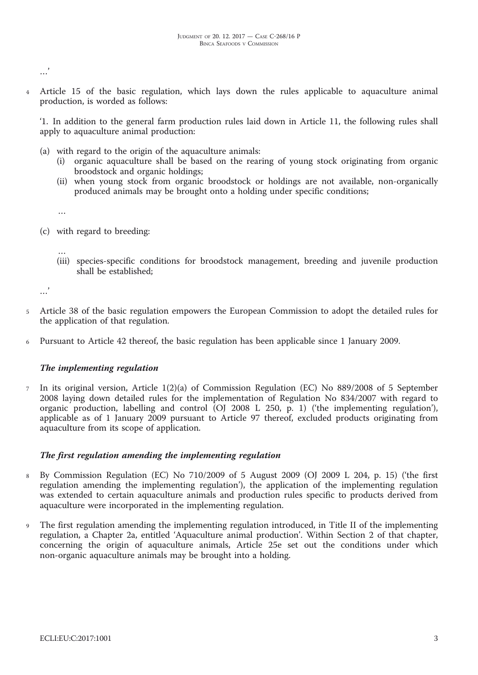.<br>...

Article 15 of the basic regulation, which lays down the rules applicable to aquaculture animal production, is worded as follows:

'1. In addition to the general farm production rules laid down in Article 11, the following rules shall apply to aquaculture animal production:

- (a) with regard to the origin of the aquaculture animals:
	- (i) organic aquaculture shall be based on the rearing of young stock originating from organic broodstock and organic holdings;
	- (ii) when young stock from organic broodstock or holdings are not available, non-organically produced animals may be brought onto a holding under specific conditions;
	- …
- (c) with regard to breeding:
	- … (iii) species-specific conditions for broodstock management, breeding and juvenile production shall be established;

…'

- <sup>5</sup> Article 38 of the basic regulation empowers the European Commission to adopt the detailed rules for the application of that regulation.
- <sup>6</sup> Pursuant to Article 42 thereof, the basic regulation has been applicable since 1 January 2009.

## *The implementing regulation*

<sup>7</sup> In its original version, Article 1(2)(a) of Commission Regulation (EC) No 889/2008 of 5 September 2008 laying down detailed rules for the implementation of Regulation No 834/2007 with regard to organic production, labelling and control (OJ 2008 L 250, p. 1) ('the implementing regulation'), applicable as of 1 January 2009 pursuant to Article 97 thereof, excluded products originating from aquaculture from its scope of application.

#### *The first regulation amending the implementing regulation*

- <sup>8</sup> By Commission Regulation (EC) No 710/2009 of 5 August 2009 (OJ 2009 L 204, p. 15) ('the first regulation amending the implementing regulation'), the application of the implementing regulation was extended to certain aquaculture animals and production rules specific to products derived from aquaculture were incorporated in the implementing regulation.
- <sup>9</sup> The first regulation amending the implementing regulation introduced, in Title II of the implementing regulation, a Chapter 2a, entitled 'Aquaculture animal production'. Within Section 2 of that chapter, concerning the origin of aquaculture animals, Article 25e set out the conditions under which non-organic aquaculture animals may be brought into a holding.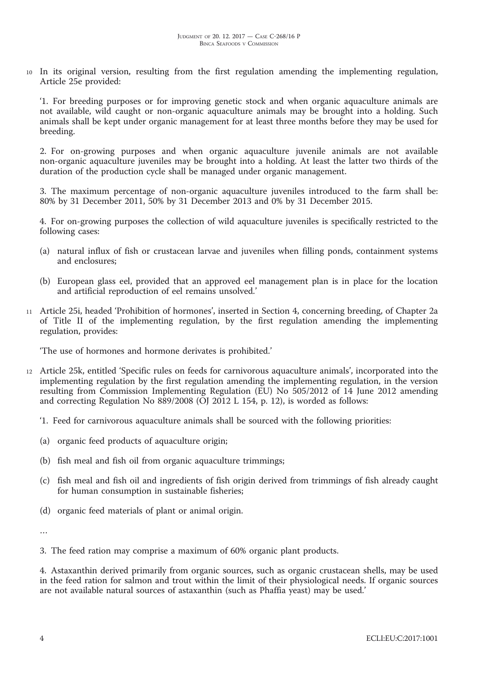<sup>10</sup> In its original version, resulting from the first regulation amending the implementing regulation, Article 25e provided:

'1. For breeding purposes or for improving genetic stock and when organic aquaculture animals are not available, wild caught or non-organic aquaculture animals may be brought into a holding. Such animals shall be kept under organic management for at least three months before they may be used for breeding.

2. For on-growing purposes and when organic aquaculture juvenile animals are not available non-organic aquaculture juveniles may be brought into a holding. At least the latter two thirds of the duration of the production cycle shall be managed under organic management.

3. The maximum percentage of non-organic aquaculture juveniles introduced to the farm shall be: 80% by 31 December 2011, 50% by 31 December 2013 and 0% by 31 December 2015.

4. For on-growing purposes the collection of wild aquaculture juveniles is specifically restricted to the following cases:

- (a) natural influx of fish or crustacean larvae and juveniles when filling ponds, containment systems and enclosures;
- (b) European glass eel, provided that an approved eel management plan is in place for the location and artificial reproduction of eel remains unsolved.'
- <sup>11</sup> Article 25i, headed 'Prohibition of hormones', inserted in Section 4, concerning breeding, of Chapter 2a of Title II of the implementing regulation, by the first regulation amending the implementing regulation, provides:

'The use of hormones and hormone derivates is prohibited.'

- <sup>12</sup> Article 25k, entitled 'Specific rules on feeds for carnivorous aquaculture animals', incorporated into the implementing regulation by the first regulation amending the implementing regulation, in the version resulting from Commission Implementing Regulation (EU) No 505/2012 of 14 June 2012 amending and correcting Regulation No  $889/2008$  (OJ 2012 L 154, p. 12), is worded as follows:
	- '1. Feed for carnivorous aquaculture animals shall be sourced with the following priorities:
	- (a) organic feed products of aquaculture origin;
	- (b) fish meal and fish oil from organic aquaculture trimmings;
	- (c) fish meal and fish oil and ingredients of fish origin derived from trimmings of fish already caught for human consumption in sustainable fisheries;
	- (d) organic feed materials of plant or animal origin.

…

3. The feed ration may comprise a maximum of 60% organic plant products.

4. Astaxanthin derived primarily from organic sources, such as organic crustacean shells, may be used in the feed ration for salmon and trout within the limit of their physiological needs. If organic sources are not available natural sources of astaxanthin (such as Phaffia yeast) may be used.'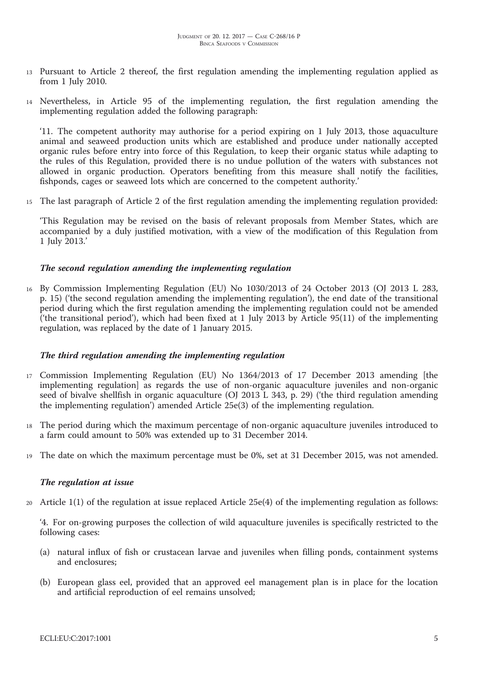- <sup>13</sup> Pursuant to Article 2 thereof, the first regulation amending the implementing regulation applied as from 1 July 2010.
- <sup>14</sup> Nevertheless, in Article 95 of the implementing regulation, the first regulation amending the implementing regulation added the following paragraph:

'11. The competent authority may authorise for a period expiring on 1 July 2013, those aquaculture animal and seaweed production units which are established and produce under nationally accepted organic rules before entry into force of this Regulation, to keep their organic status while adapting to the rules of this Regulation, provided there is no undue pollution of the waters with substances not allowed in organic production. Operators benefiting from this measure shall notify the facilities, fishponds, cages or seaweed lots which are concerned to the competent authority.'

<sup>15</sup> The last paragraph of Article 2 of the first regulation amending the implementing regulation provided:

'This Regulation may be revised on the basis of relevant proposals from Member States, which are accompanied by a duly justified motivation, with a view of the modification of this Regulation from 1 July 2013.'

## *The second regulation amending the implementing regulation*

<sup>16</sup> By Commission Implementing Regulation (EU) No 1030/2013 of 24 October 2013 (OJ 2013 L 283, p. 15) ('the second regulation amending the implementing regulation'), the end date of the transitional period during which the first regulation amending the implementing regulation could not be amended ('the transitional period'), which had been fixed at 1 July 2013 by Article 95(11) of the implementing regulation, was replaced by the date of 1 January 2015.

#### *The third regulation amending the implementing regulation*

- <sup>17</sup> Commission Implementing Regulation (EU) No 1364/2013 of 17 December 2013 amending [the implementing regulation] as regards the use of non-organic aquaculture juveniles and non-organic seed of bivalve shellfish in organic aquaculture (OJ 2013 L 343, p. 29) ('the third regulation amending the implementing regulation') amended Article 25e(3) of the implementing regulation.
- <sup>18</sup> The period during which the maximum percentage of non-organic aquaculture juveniles introduced to a farm could amount to 50% was extended up to 31 December 2014.
- <sup>19</sup> The date on which the maximum percentage must be 0%, set at 31 December 2015, was not amended.

#### *The regulation at issue*

<sup>20</sup> Article 1(1) of the regulation at issue replaced Article 25e(4) of the implementing regulation as follows:

'4. For on-growing purposes the collection of wild aquaculture juveniles is specifically restricted to the following cases:

- (a) natural influx of fish or crustacean larvae and juveniles when filling ponds, containment systems and enclosures;
- (b) European glass eel, provided that an approved eel management plan is in place for the location and artificial reproduction of eel remains unsolved;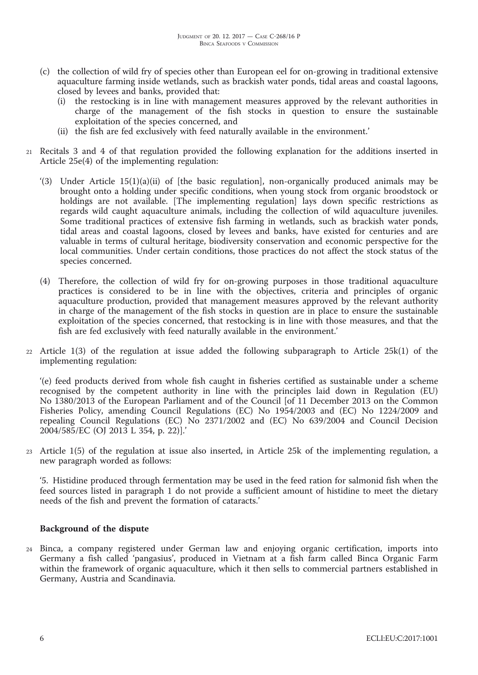- (c) the collection of wild fry of species other than European eel for on-growing in traditional extensive aquaculture farming inside wetlands, such as brackish water ponds, tidal areas and coastal lagoons, closed by levees and banks, provided that:
	- (i) the restocking is in line with management measures approved by the relevant authorities in charge of the management of the fish stocks in question to ensure the sustainable exploitation of the species concerned, and
	- (ii) the fish are fed exclusively with feed naturally available in the environment.'
- <sup>21</sup> Recitals 3 and 4 of that regulation provided the following explanation for the additions inserted in Article 25e(4) of the implementing regulation:
	- '(3) Under Article 15(1)(a)(ii) of [the basic regulation], non-organically produced animals may be brought onto a holding under specific conditions, when young stock from organic broodstock or holdings are not available. [The implementing regulation] lays down specific restrictions as regards wild caught aquaculture animals, including the collection of wild aquaculture juveniles. Some traditional practices of extensive fish farming in wetlands, such as brackish water ponds, tidal areas and coastal lagoons, closed by levees and banks, have existed for centuries and are valuable in terms of cultural heritage, biodiversity conservation and economic perspective for the local communities. Under certain conditions, those practices do not affect the stock status of the species concerned.
	- (4) Therefore, the collection of wild fry for on-growing purposes in those traditional aquaculture practices is considered to be in line with the objectives, criteria and principles of organic aquaculture production, provided that management measures approved by the relevant authority in charge of the management of the fish stocks in question are in place to ensure the sustainable exploitation of the species concerned, that restocking is in line with those measures, and that the fish are fed exclusively with feed naturally available in the environment.'
- <sup>22</sup> Article 1(3) of the regulation at issue added the following subparagraph to Article 25k(1) of the implementing regulation:

'(e) feed products derived from whole fish caught in fisheries certified as sustainable under a scheme recognised by the competent authority in line with the principles laid down in Regulation (EU) No 1380/2013 of the European Parliament and of the Council [of 11 December 2013 on the Common Fisheries Policy, amending Council Regulations (EC) No 1954/2003 and (EC) No 1224/2009 and repealing Council Regulations (EC) No 2371/2002 and (EC) No 639/2004 and Council Decision 2004/585/EC (OJ 2013 L 354, p. 22)].'

<sup>23</sup> Article 1(5) of the regulation at issue also inserted, in Article 25k of the implementing regulation, a new paragraph worded as follows:

'5. Histidine produced through fermentation may be used in the feed ration for salmonid fish when the feed sources listed in paragraph 1 do not provide a sufficient amount of histidine to meet the dietary needs of the fish and prevent the formation of cataracts.'

#### **Background of the dispute**

<sup>24</sup> Binca, a company registered under German law and enjoying organic certification, imports into Germany a fish called 'pangasius', produced in Vietnam at a fish farm called Binca Organic Farm within the framework of organic aquaculture, which it then sells to commercial partners established in Germany, Austria and Scandinavia.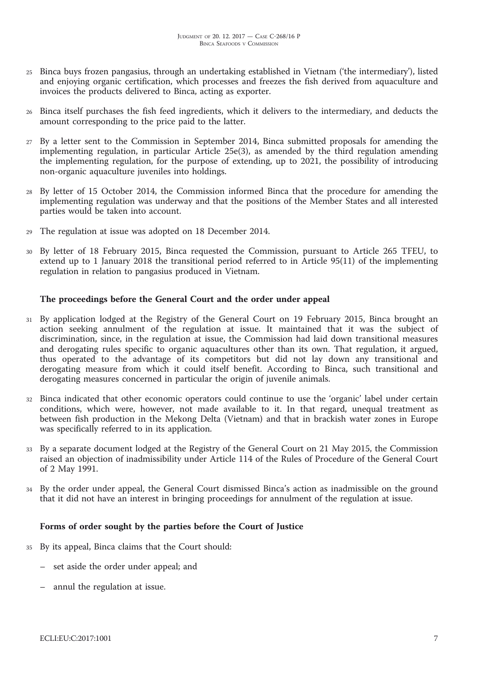- <sup>25</sup> Binca buys frozen pangasius, through an undertaking established in Vietnam ('the intermediary'), listed and enjoying organic certification, which processes and freezes the fish derived from aquaculture and invoices the products delivered to Binca, acting as exporter.
- <sup>26</sup> Binca itself purchases the fish feed ingredients, which it delivers to the intermediary, and deducts the amount corresponding to the price paid to the latter.
- <sup>27</sup> By a letter sent to the Commission in September 2014, Binca submitted proposals for amending the implementing regulation, in particular Article 25e(3), as amended by the third regulation amending the implementing regulation, for the purpose of extending, up to 2021, the possibility of introducing non-organic aquaculture juveniles into holdings.
- <sup>28</sup> By letter of 15 October 2014, the Commission informed Binca that the procedure for amending the implementing regulation was underway and that the positions of the Member States and all interested parties would be taken into account.
- The regulation at issue was adopted on 18 December 2014.
- <sup>30</sup> By letter of 18 February 2015, Binca requested the Commission, pursuant to Article 265 TFEU, to extend up to 1 January 2018 the transitional period referred to in Article 95(11) of the implementing regulation in relation to pangasius produced in Vietnam.

## **The proceedings before the General Court and the order under appeal**

- <sup>31</sup> By application lodged at the Registry of the General Court on 19 February 2015, Binca brought an action seeking annulment of the regulation at issue. It maintained that it was the subject of discrimination, since, in the regulation at issue, the Commission had laid down transitional measures and derogating rules specific to organic aquacultures other than its own. That regulation, it argued, thus operated to the advantage of its competitors but did not lay down any transitional and derogating measure from which it could itself benefit. According to Binca, such transitional and derogating measures concerned in particular the origin of juvenile animals.
- <sup>32</sup> Binca indicated that other economic operators could continue to use the 'organic' label under certain conditions, which were, however, not made available to it. In that regard, unequal treatment as between fish production in the Mekong Delta (Vietnam) and that in brackish water zones in Europe was specifically referred to in its application.
- <sup>33</sup> By a separate document lodged at the Registry of the General Court on 21 May 2015, the Commission raised an objection of inadmissibility under Article 114 of the Rules of Procedure of the General Court of 2 May 1991.
- <sup>34</sup> By the order under appeal, the General Court dismissed Binca's action as inadmissible on the ground that it did not have an interest in bringing proceedings for annulment of the regulation at issue.

## **Forms of order sought by the parties before the Court of Justice**

- <sup>35</sup> By its appeal, Binca claims that the Court should:
	- set aside the order under appeal; and
	- annul the regulation at issue.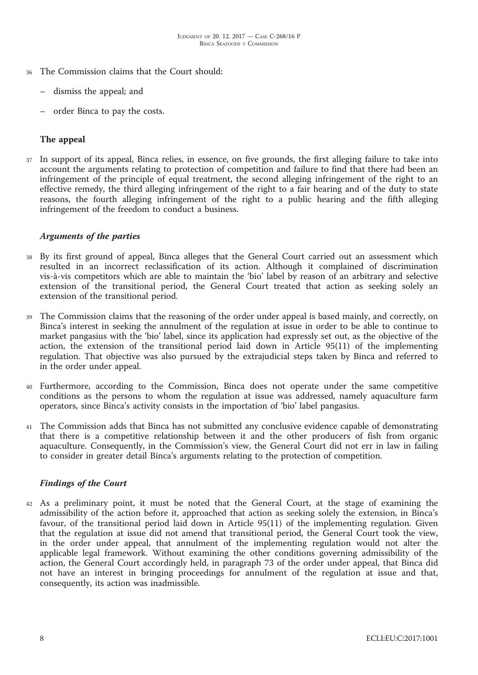- <sup>36</sup> The Commission claims that the Court should:
	- dismiss the appeal; and
	- order Binca to pay the costs.

## **The appeal**

<sup>37</sup> In support of its appeal, Binca relies, in essence, on five grounds, the first alleging failure to take into account the arguments relating to protection of competition and failure to find that there had been an infringement of the principle of equal treatment, the second alleging infringement of the right to an effective remedy, the third alleging infringement of the right to a fair hearing and of the duty to state reasons, the fourth alleging infringement of the right to a public hearing and the fifth alleging infringement of the freedom to conduct a business.

#### *Arguments of the parties*

- <sup>38</sup> By its first ground of appeal, Binca alleges that the General Court carried out an assessment which resulted in an incorrect reclassification of its action. Although it complained of discrimination vis-à-vis competitors which are able to maintain the 'bio' label by reason of an arbitrary and selective extension of the transitional period, the General Court treated that action as seeking solely an extension of the transitional period.
- <sup>39</sup> The Commission claims that the reasoning of the order under appeal is based mainly, and correctly, on Binca's interest in seeking the annulment of the regulation at issue in order to be able to continue to market pangasius with the 'bio' label, since its application had expressly set out, as the objective of the action, the extension of the transitional period laid down in Article 95(11) of the implementing regulation. That objective was also pursued by the extrajudicial steps taken by Binca and referred to in the order under appeal.
- <sup>40</sup> Furthermore, according to the Commission, Binca does not operate under the same competitive conditions as the persons to whom the regulation at issue was addressed, namely aquaculture farm operators, since Binca's activity consists in the importation of 'bio' label pangasius.
- <sup>41</sup> The Commission adds that Binca has not submitted any conclusive evidence capable of demonstrating that there is a competitive relationship between it and the other producers of fish from organic aquaculture. Consequently, in the Commission's view, the General Court did not err in law in failing to consider in greater detail Binca's arguments relating to the protection of competition.

#### *Findings of the Court*

<sup>42</sup> As a preliminary point, it must be noted that the General Court, at the stage of examining the admissibility of the action before it, approached that action as seeking solely the extension, in Binca's favour, of the transitional period laid down in Article 95(11) of the implementing regulation. Given that the regulation at issue did not amend that transitional period, the General Court took the view, in the order under appeal, that annulment of the implementing regulation would not alter the applicable legal framework. Without examining the other conditions governing admissibility of the action, the General Court accordingly held, in paragraph 73 of the order under appeal, that Binca did not have an interest in bringing proceedings for annulment of the regulation at issue and that, consequently, its action was inadmissible.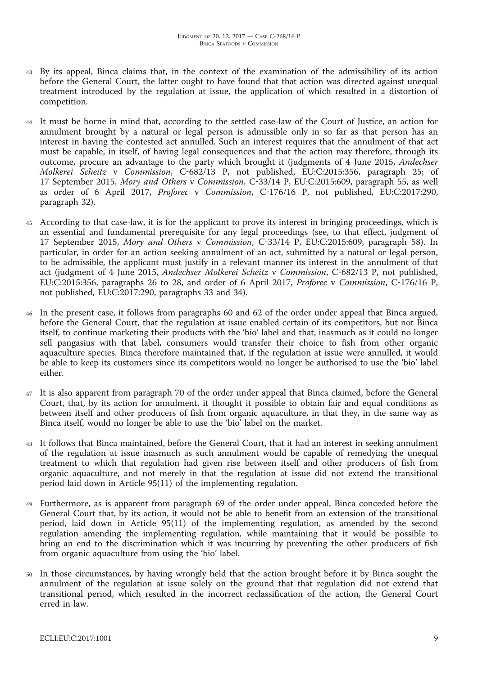- <sup>43</sup> By its appeal, Binca claims that, in the context of the examination of the admissibility of its action before the General Court, the latter ought to have found that that action was directed against unequal treatment introduced by the regulation at issue, the application of which resulted in a distortion of competition.
- <sup>44</sup> It must be borne in mind that, according to the settled case-law of the Court of Justice, an action for annulment brought by a natural or legal person is admissible only in so far as that person has an interest in having the contested act annulled. Such an interest requires that the annulment of that act must be capable, in itself, of having legal consequences and that the action may therefore, through its outcome, procure an advantage to the party which brought it (judgments of 4 June 2015, *Andechser Molkerei Scheitz* v *Commission*, C-682/13 P, not published, EU:C:2015:356, paragraph 25; of 17 September 2015, *Mory and Others* v *Commission*, C-33/14 P, EU:C:2015:609, paragraph 55, as well as order of 6 April 2017, *Proforec* v *Commission*, C-176/16 P, not published, EU:C:2017:290, paragraph 32).
- According to that case-law, it is for the applicant to prove its interest in bringing proceedings, which is an essential and fundamental prerequisite for any legal proceedings (see, to that effect, judgment of 17 September 2015, *Mory and Others* v *Commission*, C-33/14 P, EU:C:2015:609, paragraph 58). In particular, in order for an action seeking annulment of an act, submitted by a natural or legal person, to be admissible, the applicant must justify in a relevant manner its interest in the annulment of that act (judgment of 4 June 2015, *Andechser Molkerei Scheitz* v *Commission*, C-682/13 P, not published, EU:C:2015:356, paragraphs 26 to 28, and order of 6 April 2017, *Proforec* v *Commission*, C-176/16 P, not published, EU:C:2017:290, paragraphs 33 and 34).
- <sup>46</sup> In the present case, it follows from paragraphs 60 and 62 of the order under appeal that Binca argued, before the General Court, that the regulation at issue enabled certain of its competitors, but not Binca itself, to continue marketing their products with the 'bio' label and that, inasmuch as it could no longer sell pangasius with that label, consumers would transfer their choice to fish from other organic aquaculture species. Binca therefore maintained that, if the regulation at issue were annulled, it would be able to keep its customers since its competitors would no longer be authorised to use the 'bio' label either.
- It is also apparent from paragraph 70 of the order under appeal that Binca claimed, before the General Court, that, by its action for annulment, it thought it possible to obtain fair and equal conditions as between itself and other producers of fish from organic aquaculture, in that they, in the same way as Binca itself, would no longer be able to use the 'bio' label on the market.
- <sup>48</sup> It follows that Binca maintained, before the General Court, that it had an interest in seeking annulment of the regulation at issue inasmuch as such annulment would be capable of remedying the unequal treatment to which that regulation had given rise between itself and other producers of fish from organic aquaculture, and not merely in that the regulation at issue did not extend the transitional period laid down in Article 95(11) of the implementing regulation.
- <sup>49</sup> Furthermore, as is apparent from paragraph 69 of the order under appeal, Binca conceded before the General Court that, by its action, it would not be able to benefit from an extension of the transitional period, laid down in Article 95(11) of the implementing regulation, as amended by the second regulation amending the implementing regulation, while maintaining that it would be possible to bring an end to the discrimination which it was incurring by preventing the other producers of fish from organic aquaculture from using the 'bio' label.
- <sup>50</sup> In those circumstances, by having wrongly held that the action brought before it by Binca sought the annulment of the regulation at issue solely on the ground that that regulation did not extend that transitional period, which resulted in the incorrect reclassification of the action, the General Court erred in law.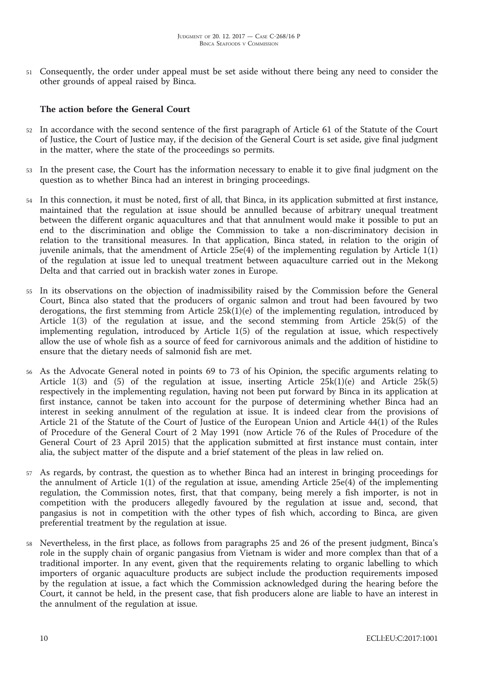<sup>51</sup> Consequently, the order under appeal must be set aside without there being any need to consider the other grounds of appeal raised by Binca.

## **The action before the General Court**

- <sup>52</sup> In accordance with the second sentence of the first paragraph of Article 61 of the Statute of the Court of Justice, the Court of Justice may, if the decision of the General Court is set aside, give final judgment in the matter, where the state of the proceedings so permits.
- <sup>53</sup> In the present case, the Court has the information necessary to enable it to give final judgment on the question as to whether Binca had an interest in bringing proceedings.
- <sup>54</sup> In this connection, it must be noted, first of all, that Binca, in its application submitted at first instance, maintained that the regulation at issue should be annulled because of arbitrary unequal treatment between the different organic aquacultures and that that annulment would make it possible to put an end to the discrimination and oblige the Commission to take a non-discriminatory decision in relation to the transitional measures. In that application, Binca stated, in relation to the origin of juvenile animals, that the amendment of Article 25e(4) of the implementing regulation by Article 1(1) of the regulation at issue led to unequal treatment between aquaculture carried out in the Mekong Delta and that carried out in brackish water zones in Europe.
- <sup>55</sup> In its observations on the objection of inadmissibility raised by the Commission before the General Court, Binca also stated that the producers of organic salmon and trout had been favoured by two derogations, the first stemming from Article  $25k(1)(e)$  of the implementing regulation, introduced by Article 1(3) of the regulation at issue, and the second stemming from Article 25k(5) of the implementing regulation, introduced by Article 1(5) of the regulation at issue, which respectively allow the use of whole fish as a source of feed for carnivorous animals and the addition of histidine to ensure that the dietary needs of salmonid fish are met.
- <sup>56</sup> As the Advocate General noted in points 69 to 73 of his Opinion, the specific arguments relating to Article 1(3) and (5) of the regulation at issue, inserting Article  $25k(1)(e)$  and Article  $25k(5)$ respectively in the implementing regulation, having not been put forward by Binca in its application at first instance, cannot be taken into account for the purpose of determining whether Binca had an interest in seeking annulment of the regulation at issue. It is indeed clear from the provisions of Article 21 of the Statute of the Court of Justice of the European Union and Article 44(1) of the Rules of Procedure of the General Court of 2 May 1991 (now Article 76 of the Rules of Procedure of the General Court of 23 April 2015) that the application submitted at first instance must contain, inter alia, the subject matter of the dispute and a brief statement of the pleas in law relied on.
- <sup>57</sup> As regards, by contrast, the question as to whether Binca had an interest in bringing proceedings for the annulment of Article 1(1) of the regulation at issue, amending Article 25e(4) of the implementing regulation, the Commission notes, first, that that company, being merely a fish importer, is not in competition with the producers allegedly favoured by the regulation at issue and, second, that pangasius is not in competition with the other types of fish which, according to Binca, are given preferential treatment by the regulation at issue.
- <sup>58</sup> Nevertheless, in the first place, as follows from paragraphs 25 and 26 of the present judgment, Binca's role in the supply chain of organic pangasius from Vietnam is wider and more complex than that of a traditional importer. In any event, given that the requirements relating to organic labelling to which importers of organic aquaculture products are subject include the production requirements imposed by the regulation at issue, a fact which the Commission acknowledged during the hearing before the Court, it cannot be held, in the present case, that fish producers alone are liable to have an interest in the annulment of the regulation at issue.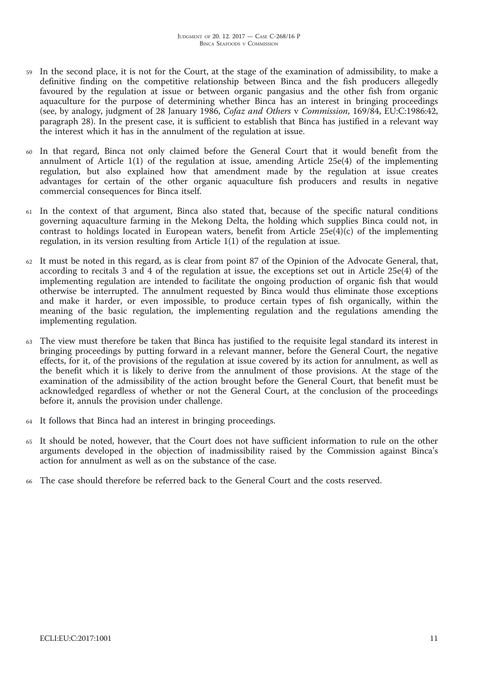- In the second place, it is not for the Court, at the stage of the examination of admissibility, to make a definitive finding on the competitive relationship between Binca and the fish producers allegedly favoured by the regulation at issue or between organic pangasius and the other fish from organic aquaculture for the purpose of determining whether Binca has an interest in bringing proceedings (see, by analogy, judgment of 28 January 1986, *Cofaz and Others* v *Commission*, 169/84, EU:C:1986:42, paragraph 28). In the present case, it is sufficient to establish that Binca has justified in a relevant way the interest which it has in the annulment of the regulation at issue.
- <sup>60</sup> In that regard, Binca not only claimed before the General Court that it would benefit from the annulment of Article 1(1) of the regulation at issue, amending Article 25e(4) of the implementing regulation, but also explained how that amendment made by the regulation at issue creates advantages for certain of the other organic aquaculture fish producers and results in negative commercial consequences for Binca itself.
- <sup>61</sup> In the context of that argument, Binca also stated that, because of the specific natural conditions governing aquaculture farming in the Mekong Delta, the holding which supplies Binca could not, in contrast to holdings located in European waters, benefit from Article  $25e(4)(c)$  of the implementing regulation, in its version resulting from Article 1(1) of the regulation at issue.
- <sup>62</sup> It must be noted in this regard, as is clear from point 87 of the Opinion of the Advocate General, that, according to recitals 3 and 4 of the regulation at issue, the exceptions set out in Article 25e(4) of the implementing regulation are intended to facilitate the ongoing production of organic fish that would otherwise be interrupted. The annulment requested by Binca would thus eliminate those exceptions and make it harder, or even impossible, to produce certain types of fish organically, within the meaning of the basic regulation, the implementing regulation and the regulations amending the implementing regulation.
- <sup>63</sup> The view must therefore be taken that Binca has justified to the requisite legal standard its interest in bringing proceedings by putting forward in a relevant manner, before the General Court, the negative effects, for it, of the provisions of the regulation at issue covered by its action for annulment, as well as the benefit which it is likely to derive from the annulment of those provisions. At the stage of the examination of the admissibility of the action brought before the General Court, that benefit must be acknowledged regardless of whether or not the General Court, at the conclusion of the proceedings before it, annuls the provision under challenge.
- <sup>64</sup> It follows that Binca had an interest in bringing proceedings.
- <sup>65</sup> It should be noted, however, that the Court does not have sufficient information to rule on the other arguments developed in the objection of inadmissibility raised by the Commission against Binca's action for annulment as well as on the substance of the case.
- The case should therefore be referred back to the General Court and the costs reserved.